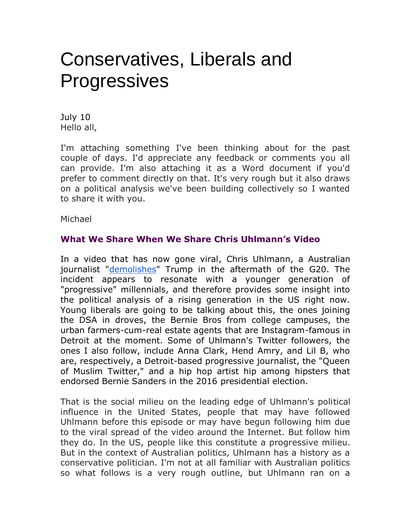## Conservatives, Liberals and **Progressives**

July 10 Hello all,

I'm attaching something I've been thinking about for the past couple of days. I'd appreciate any feedback or comments you all can provide. I'm also attaching it as a Word document if you'd prefer to comment directly on that. It's very rough but it also draws on a political analysis we've been building collectively so I wanted to share it with you.

Michael

## **What We Share When We Share Chris Uhlmann's Video**

In a video that has now gone viral, Chris Uhlmann, a Australian journalist ["demolishes"](https://www.theguardian.com/us-news/2017/jul/09/biggest-threat-to-the-west-australian-journalist-demolishes-trump-after-g20) Trump in the aftermath of the G20. The incident appears to resonate with a younger generation of "progressive" millennials, and therefore provides some insight into the political analysis of a rising generation in the US right now. Young liberals are going to be talking about this, the ones joining the DSA in droves, the Bernie Bros from college campuses, the urban farmers-cum-real estate agents that are Instagram-famous in Detroit at the moment. Some of Uhlmann's Twitter followers, the ones I also follow, include Anna Clark, Hend Amry, and Lil B, who are, respectively, a Detroit-based progressive journalist, the "Queen of Muslim Twitter," and a hip hop artist hip among hipsters that endorsed Bernie Sanders in the 2016 presidential election.

That is the social milieu on the leading edge of Uhlmann's political influence in the United States, people that may have followed Uhlmann before this episode or may have begun following him due to the viral spread of the video around the Internet. But follow him they do. In the US, people like this constitute a progressive milieu. But in the context of Australian politics, Uhlmann has a history as a conservative politician. I'm not at all familiar with Australian politics so what follows is a very rough outline, but Uhlmann ran on a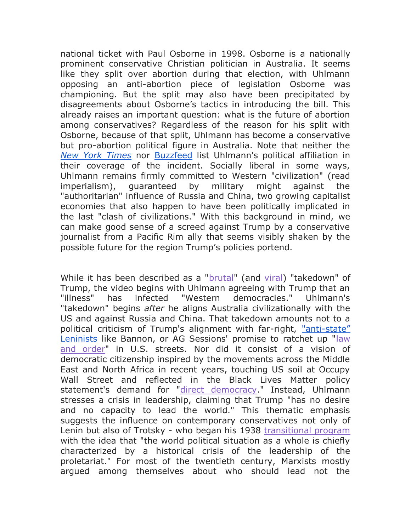national ticket with Paul Osborne in 1998. Osborne is a nationally prominent conservative Christian politician in Australia. It seems like they split over abortion during that election, with Uhlmann opposing an anti-abortion piece of legislation Osborne was championing. But the split may also have been precipitated by disagreements about Osborne's tactics in introducing the bill. This already raises an important question: what is the future of abortion among conservatives? Regardless of the reason for his split with Osborne, because of that split, Uhlmann has become a conservative but pro-abortion political figure in Australia. Note that neither the *[New York Times](https://www.nytimes.com/2017/07/09/us/trump-g20-viral-australian-journalist.html?_r=0)* nor [Buzzfeed](https://www.buzzfeed.com/lanesainty/brutal-trump-monologue-from-australian-journalist?utm_term=.qarLP6rgam#.pr0e3rbRMv) list Uhlmann's political affiliation in their coverage of the incident. Socially liberal in some ways, Uhlmann remains firmly committed to Western "civilization" (read imperialism), guaranteed by military might against the "authoritarian" influence of Russia and China, two growing capitalist economies that also happen to have been politically implicated in the last "clash of civilizations." With this background in mind, we can make good sense of a screed against Trump by a conservative journalist from a Pacific Rim ally that seems visibly shaken by the possible future for the region Trump's policies portend.

While it has been described as a ["brutal"](https://www.buzzfeed.com/lanesainty/brutal-trump-monologue-from-australian-journalist?utm_term=.rrnlZ1mOB5#.oey5JeOoQD) (and [viral\)](https://www.nytimes.com/2017/07/09/us/trump-g20-viral-australian-journalist.html) "takedown" of Trump, the video begins with Uhlmann agreeing with Trump that an "illness" has infected "Western democracies." Uhlmann's "takedown" begins *after* he aligns Australia civilizationally with the US and against Russia and China. That takedown amounts not to a political criticism of Trump's alignment with far-right, "anti-[state"](http://www.thedailybeast.com/steve-bannon-trumps-top-guy-told-me-he-was-a-leninist)  [Leninists](http://www.thedailybeast.com/steve-bannon-trumps-top-guy-told-me-he-was-a-leninist) like Bannon, or AG Sessions' promise to ratchet up "law [and order"](http://www.washingtontimes.com/news/2017/may/12/jeff-sessions-ushers-law-and-order/) in U.S. streets. Nor did it consist of a vision of democratic citizenship inspired by the movements across the Middle East and North Africa in recent years, touching US soil at Occupy Wall Street and reflected in the Black Lives Matter policy statement's demand for ["direct democracy.](https://policy.m4bl.org/community-control/)" Instead, Uhlmann stresses a crisis in leadership, claiming that Trump "has no desire and no capacity to lead the world." This thematic emphasis suggests the influence on contemporary conservatives not only of Lenin but also of Trotsky - who began his 1938 [transitional program](https://www.marxists.org/archive/trotsky/1938/tp/tp-text.htm) with the idea that "the world political situation as a whole is chiefly characterized by a historical crisis of the leadership of the proletariat." For most of the twentieth century, Marxists mostly argued among themselves about who should lead not the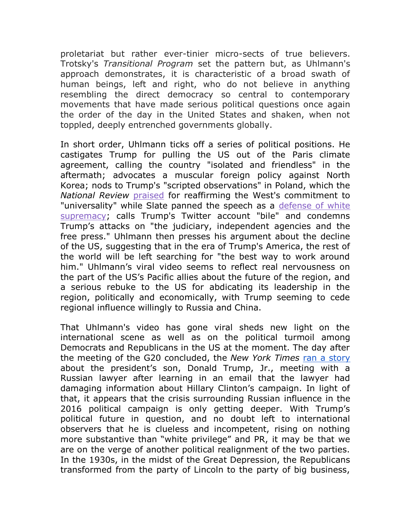proletariat but rather ever-tinier micro-sects of true believers. Trotsky's *Transitional Program* set the pattern but, as Uhlmann's approach demonstrates, it is characteristic of a broad swath of human beings, left and right, who do not believe in anything resembling the direct democracy so central to contemporary movements that have made serious political questions once again the order of the day in the United States and shaken, when not toppled, deeply entrenched governments globally.

In short order, Uhlmann ticks off a series of political positions. He castigates Trump for pulling the US out of the Paris climate agreement, calling the country "isolated and friendless" in the aftermath; advocates a muscular foreign policy against North Korea; nods to Trump's "scripted observations" in Poland, which the *National Review* [praised](http://www.nationalreview.com/article/449325/trump-poland-speech-western-civilization-universal-values) for reaffirming the West's commitment to "universality" while Slate panned the speech as a [defense of white](http://www.salon.com/2017/07/08/trumps-alt-right-poland-speech-time-to-call-his-white-nationalist-rhetoric-what-it-is/)  [supremacy;](http://www.salon.com/2017/07/08/trumps-alt-right-poland-speech-time-to-call-his-white-nationalist-rhetoric-what-it-is/) calls Trump's Twitter account "bile" and condemns Trump's attacks on "the judiciary, independent agencies and the free press." Uhlmann then presses his argument about the decline of the US, suggesting that in the era of Trump's America, the rest of the world will be left searching for "the best way to work around him." Uhlmann's viral video seems to reflect real nervousness on the part of the US's Pacific allies about the future of the region, and a serious rebuke to the US for abdicating its leadership in the region, politically and economically, with Trump seeming to cede regional influence willingly to Russia and China.

That Uhlmann's video has gone viral sheds new light on the international scene as well as on the political turmoil among Democrats and Republicans in the US at the moment. The day after the meeting of the G20 concluded, the *New York Times* [ran a story](https://www.nytimes.com/2017/07/10/us/politics/donald-trump-jr-russia-email-candidacy.html?hp&action=click&pgtype=Homepage&clickSource=story-heading&module=span-ab-top-region®ion=top-news&WT.nav=top-news) about the president's son, Donald Trump, Jr., meeting with a Russian lawyer after learning in an email that the lawyer had damaging information about Hillary Clinton's campaign. In light of that, it appears that the crisis surrounding Russian influence in the 2016 political campaign is only getting deeper. With Trump's political future in question, and no doubt left to international observers that he is clueless and incompetent, rising on nothing more substantive than "white privilege" and PR, it may be that we are on the verge of another political realignment of the two parties. In the 1930s, in the midst of the Great Depression, the Republicans transformed from the party of Lincoln to the party of big business,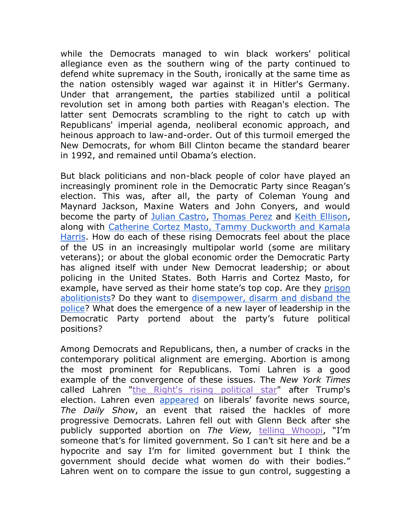while the Democrats managed to win black workers' political allegiance even as the southern wing of the party continued to defend white supremacy in the South, ironically at the same time as the nation ostensibly waged war against it in Hitler's Germany. Under that arrangement, the parties stabilized until a political revolution set in among both parties with Reagan's election. The latter sent Democrats scrambling to the right to catch up with Republicans' imperial agenda, neoliberal economic approach, and heinous approach to law-and-order. Out of this turmoil emerged the New Democrats, for whom Bill Clinton became the standard bearer in 1992, and remained until Obama's election.

But black politicians and non-black people of color have played an increasingly prominent role in the Democratic Party since Reagan's election. This was, after all, the party of Coleman Young and Maynard Jackson, Maxine Waters and John Conyers, and would become the party of [Julian Castro,](http://www.cnn.com/2012/09/04/politics/julian-castro-profile/index.html) [Thomas Perez](https://www.washingtonpost.com/powerpost/tom-perez-elected-as-first-latino-leader-of-democratic-party/2017/02/25/1fd76f52-fad7-11e6-9845-576c69081518_story.html?utm_term=.8c1a4e4d48da) and [Keith Ellison,](https://qz.com/918697/keith-ellison-tom-perez-the-dnc-race-is-a-choice-for-democrats-to-look-to-the-future-or-stay-stuck-in-the-past/) along with [Catherine Cortez Masto, Tammy Duckworth and Kamala](https://www.washingtonpost.com/news/the-fix/wp/2016/11/10/one-election-bright-spot-for-democrats-women-of-color/?utm_term=.9b5dd102c74f)  [Harris.](https://www.washingtonpost.com/news/the-fix/wp/2016/11/10/one-election-bright-spot-for-democrats-women-of-color/?utm_term=.9b5dd102c74f) How do each of these rising Democrats feel about the place of the US in an increasingly multipolar world (some are military veterans); or about the global economic order the Democratic Party has aligned itself with under New Democrat leadership; or about policing in the United States. Both Harris and Cortez Masto, for example, have served as their home state's top cop. Are they prison [abolitionists?](http://www.aaihs.org/prison-abolition-syllabus/) Do they want to [disempower, disarm and disband the](http://aworldwithoutpolice.org/)  [police?](http://aworldwithoutpolice.org/) What does the emergence of a new layer of leadership in the Democratic Party portend about the party's future political positions?

Among Democrats and Republicans, then, a number of cracks in the contemporary political alignment are emerging. Abortion is among the most prominent for Republicans. Tomi Lahren is a good example of the convergence of these issues. The *New York Times* called Lahren ["the Right's rising political star"](https://www.nytimes.com/2016/12/04/business/media/tomi-lahren-young-vocal-and-the-rights-rising-media-star.html) after Trump's election. Lahren even [appeared](https://youtu.be/F2xv4fba65U) on liberals' favorite news source, *The Daily Show*, an event that raised the hackles of more progressive Democrats. Lahren fell out with Glenn Beck after she publicly supported abortion on *The View,* [telling Whoopi](http://www.politico.com/magazine/story/2017/05/07/shut-up-tomi-lahren-profile-215108), "I'm someone that's for limited government. So I can't sit here and be a hypocrite and say I'm for limited government but I think the government should decide what women do with their bodies." Lahren went on to compare the issue to gun control, suggesting a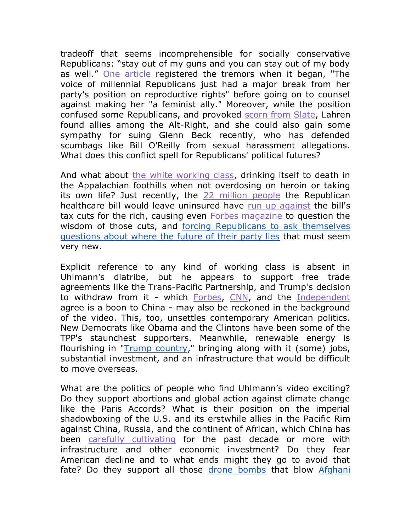tradeoff that seems incomprehensible for socially conservative Republicans: "stay out of my guns and you can stay out of my body as well." [One article](https://www.bustle.com/p/tomi-lahrens-pro-choice-stance-doesnt-make-her-a-feminist-ally-46045) registered the tremors when it began, "The voice of millennial Republicans just had a major break from her party's position on reproductive rights" before going on to counsel against making her "a feminist ally." Moreover, while the position confused some Republicans, and provoked [scorn from Slate,](http://www.slate.com/blogs/xx_factor/2017/03/21/tomi_lahren_reveals_she_s_pro_choice_enjoys_alt_right_support.html) Lahren found allies among the Alt-Right, and she could also gain some sympathy for suing Glenn Beck recently, who has defended scumbags like Bill O'Reilly from sexual harassment allegations. What does this conflict spell for Republicans' political futures?

And what about [the white working class,](https://www.ft.com/content/34637e1a-0f41-11e7-b030-768954394623?mhq5j=e1) drinking itself to death in the Appalachian foothills when not overdosing on heroin or taking its own life? Just recently, the [22 million people](http://www.npr.org/2017/06/26/534432433/gop-senate-bill-would-cut-health-care-coverage-by-22-million) the Republican healthcare bill would leave uninsured have [run up against](https://www.nytimes.com/reuters/2017/06/28/us/politics/28reuters-usa-healthcare-republican.html) the bill's tax cuts for the rich, causing even [Forbes magazine](https://www.forbes.com/sites/theapothecary/2017/06/26/tax-cuts-in-republican-senate-health-bill-undercut-its-best-justification/#7553ac96a8ad) to question the wisdom of those cuts, and [forcing Republicans to ask themselves](https://www.washingtonpost.com/powerpost/gop-health-care-debate-turns-to-stark-question-help-vulnerable-americans-or-help-the-rich/2017/06/29/02d96318-5cd1-11e7-9fc6-c7ef4bc58d13_story.html?utm_term=.5475f7d6731c)  [questions about where the future of their party lies](https://www.washingtonpost.com/powerpost/gop-health-care-debate-turns-to-stark-question-help-vulnerable-americans-or-help-the-rich/2017/06/29/02d96318-5cd1-11e7-9fc6-c7ef4bc58d13_story.html?utm_term=.5475f7d6731c) that must seem very new.

Explicit reference to any kind of working class is absent in Uhlmann's diatribe, but he appears to support free trade agreements like the Trans-Pacific Partnership, and Trump's decision to withdraw from it - which [Forbes,](https://www.forbes.com/sites/johnbrinkley/2017/01/24/trump-dumps-trans-pacific-partnership-sad/#645659d175dc) [CNN,](http://www.cnn.com/2017/01/23/opinions/killing-ttp-great-for-china-bergstrand-opinion/index.html) and the [Independent](http://www.independent.co.uk/news/world/asia/china-replace-us-tpp-trade-deal-trans-pacific-partnership-australia-diplomat-alexander-downer-nafta-a7542751.html) agree is a boon to China - may also be reckoned in the background of the video. This, too, unsettles contemporary American politics. New Democrats like Obama and the Clintons have been some of the TPP's staunchest supporters. Meanwhile, renewable energy is flourishing in ["Trump country,](https://www.nytimes.com/2017/06/06/climate/renewable-energy-push-is-strongest-in-the-reddest-states.html)" bringing along with it (some) jobs, substantial investment, and an infrastructure that would be difficult to move overseas.

What are the politics of people who find Uhlmann's video exciting? Do they support abortions and global action against climate change like the Paris Accords? What is their position on the imperial shadowboxing of the U.S. and its erstwhile allies in the Pacific Rim against China, Russia, and the continent of African, which China has been [carefully cultivating](http://knowledge.wharton.upenn.edu/article/chinas-investments-in-africa-whats-the-real-story/) for the past decade or more with infrastructure and other economic investment? Do they fear American decline and to what ends might they go to avoid that fate? Do they support all those [drone bombs](https://youtu.be/aUEoic7ro_o) that blow Afghani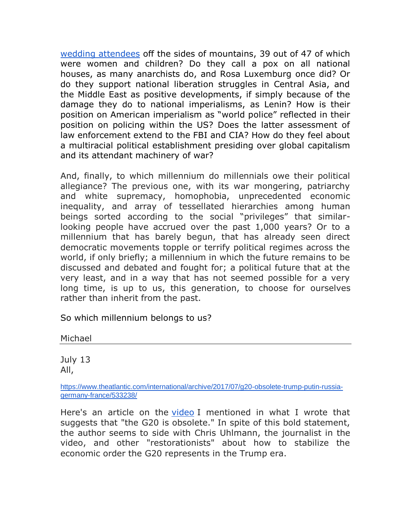[wedding attendees](https://www.theguardian.com/world/2008/jul/11/afghanistan.usa) off the sides of mountains, 39 out of 47 of which were women and children? Do they call a pox on all national houses, as many anarchists do, and Rosa Luxemburg once did? Or do they support national liberation struggles in Central Asia, and the Middle East as positive developments, if simply because of the damage they do to national imperialisms, as Lenin? How is their position on American imperialism as "world police" reflected in their position on policing within the US? Does the latter assessment of law enforcement extend to the FBI and CIA? How do they feel about a multiracial political establishment presiding over global capitalism and its attendant machinery of war?

And, finally, to which millennium do millennials owe their political allegiance? The previous one, with its war mongering, patriarchy and white supremacy, homophobia, unprecedented economic inequality, and array of tessellated hierarchies among human beings sorted according to the social "privileges" that similarlooking people have accrued over the past 1,000 years? Or to a millennium that has barely begun, that has already seen direct democratic movements topple or terrify political regimes across the world, if only briefly; a millennium in which the future remains to be discussed and debated and fought for; a political future that at the very least, and in a way that has not seemed possible for a very long time, is up to us, this generation, to choose for ourselves rather than inherit from the past.

So which millennium belongs to us?

Michael

July 13 All,

[https://www.theatlantic.com/international/archive/2017/07/g20-obsolete-trump-putin-russia](https://www.theatlantic.com/international/archive/2017/07/g20-obsolete-trump-putin-russia-germany-france/533238/)[germany-france/533238/](https://www.theatlantic.com/international/archive/2017/07/g20-obsolete-trump-putin-russia-germany-france/533238/)

Here's an article on the [video](https://youtu.be/y6_ckWZCHW4) I mentioned in what I wrote that suggests that "the G20 is obsolete." In spite of this bold statement, the author seems to side with Chris Uhlmann, the journalist in the video, and other "restorationists" about how to stabilize the economic order the G20 represents in the Trump era.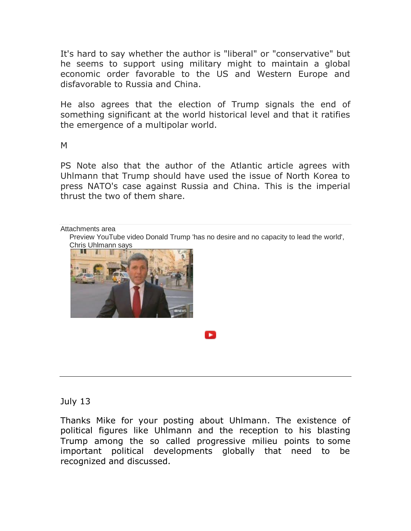It's hard to say whether the author is "liberal" or "conservative" but he seems to support using military might to maintain a global economic order favorable to the US and Western Europe and disfavorable to Russia and China.

He also agrees that the election of Trump signals the end of something significant at the world historical level and that it ratifies the emergence of a multipolar world.

M

PS Note also that the author of the Atlantic article agrees with Uhlmann that Trump should have used the issue of North Korea to press NATO's case against Russia and China. This is the imperial thrust the two of them share.

Attachments area

[Preview YouTube video Donald Trump 'has no desire and no capacity to lead the world',](https://www.youtube.com/watch?v=y6_ckWZCHW4&authuser=0)  [Chris Uhlmann says](https://www.youtube.com/watch?v=y6_ckWZCHW4&authuser=0)



## July 13

Thanks Mike for your posting about Uhlmann. The existence of political figures like Uhlmann and the reception to his blasting Trump among the so called progressive milieu points to some important political developments globally that need to be recognized and discussed.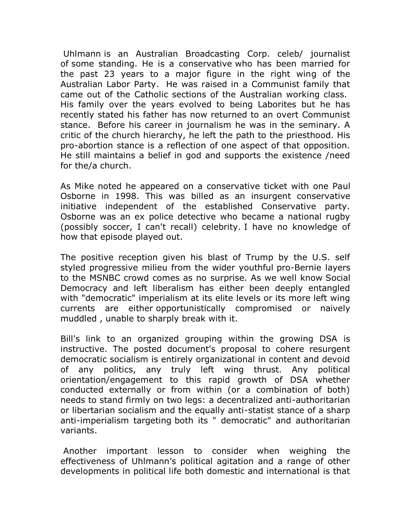Uhlmann is an Australian Broadcasting Corp. celeb/ journalist of some standing. He is a conservative who has been married for the past 23 years to a major figure in the right wing of the Australian Labor Party. He was raised in a Communist family that came out of the Catholic sections of the Australian working class. His family over the years evolved to being Laborites but he has recently stated his father has now returned to an overt Communist stance. Before his career in journalism he was in the seminary. A critic of the church hierarchy, he left the path to the priesthood. His pro-abortion stance is a reflection of one aspect of that opposition. He still maintains a belief in god and supports the existence /need for the/a church.

As Mike noted he appeared on a conservative ticket with one Paul Osborne in 1998. This was billed as an insurgent conservative initiative independent of the established Conservative party. Osborne was an ex police detective who became a national rugby (possibly soccer, I can't recall) celebrity. I have no knowledge of how that episode played out.

The positive reception given his blast of Trump by the U.S. self styled progressive milieu from the wider youthful pro-Bernie layers to the MSNBC crowd comes as no surprise. As we well know Social Democracy and left liberalism has either been deeply entangled with "democratic" imperialism at its elite levels or its more left wing currents are either opportunistically compromised or naively muddled , unable to sharply break with it.

Bill's link to an organized grouping within the growing DSA is instructive. The posted document's proposal to cohere resurgent democratic socialism is entirely organizational in content and devoid of any politics, any truly left wing thrust. Any political orientation/engagement to this rapid growth of DSA whether conducted externally or from within (or a combination of both) needs to stand firmly on two legs: a decentralized anti-authoritarian or libertarian socialism and the equally anti-statist stance of a sharp anti-imperialism targeting both its " democratic" and authoritarian variants.

Another important lesson to consider when weighing the effectiveness of Uhlmann's political agitation and a range of other developments in political life both domestic and international is that